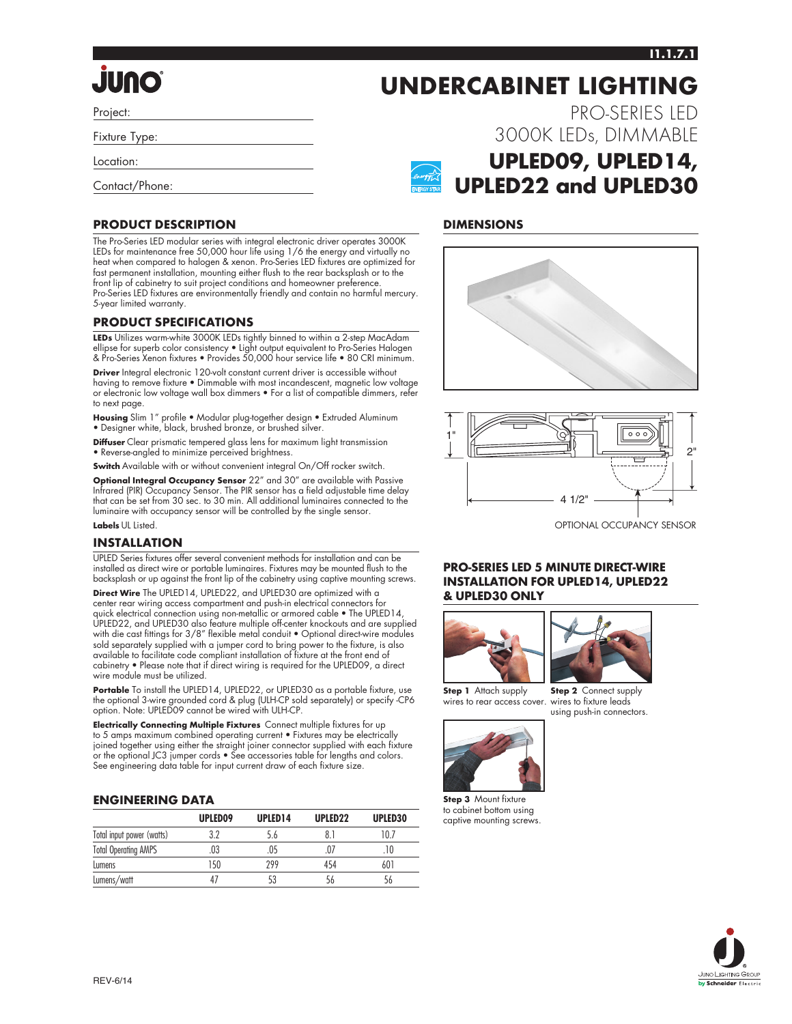### **I1.1.7.1**

PRO-SERIES LED

3000K LEDs, DIMMABLE

**UPLED09, UPLED14,** 

**UPLED22 and UPLED30**

# **Onlli.**

Project:

Fixture Type:

Location:

Contact/Phone:

#### **PRODUCT DESCRIPTION**

The Pro-Series LED modular series with integral electronic driver operates 3000K LEDs for maintenance free 50,000 hour life using 1/6 the energy and virtually no heat when compared to halogen & xenon. Pro-Series LED fixtures are optimized for fast permanent installation, mounting either flush to the rear backsplash or to the front lip of cabinetry to suit project conditions and homeowner preference. Pro-Series LED fixtures are environmentally friendly and contain no harmful mercury. 5-year limited warranty.

#### **PRODUCT SPECIFICATIONS**

**LEDs** Utilizes warm-white 3000K LEDs tightly binned to within a 2-step MacAdam ellipse for superb color consistency • Light output equivalent to Pro-Series Halogen & Pro-Series Xenon fixtures • Provides 50,000 hour service life • 80 CRI minimum.

**Driver** Integral electronic 120-volt constant current driver is accessible without having to remove fixture • Dimmable with most incandescent, magnetic low voltage or electronic low voltage wall box dimmers • For a list of compatible dimmers, refer to next page.

**Housing** Slim 1" profile • Modular plug-together design • Extruded Aluminum • Designer white, black, brushed bronze, or brushed silver.

**Diffuser** Clear prismatic tempered glass lens for maximum light transmission • Reverse-angled to minimize perceived brightness.

**Switch** Available with or without convenient integral On/Off rocker switch.

**Optional Integral Occupancy Sensor** 22" and 30" are available with Passive Infrared (PIR) Occupancy Sensor. The PIR sensor has a field adjustable time delay that can be set from 30 sec. to 30 min. All additional luminaires connected to the luminaire with occupancy sensor will be controlled by the single sensor. **Labels** UL Listed.

#### **INSTALLATION**

UPLED Series fixtures offer several convenient methods for installation and can be installed as direct wire or portable luminaires. Fixtures may be mounted flush to the backsplash or up against the front lip of the cabinetry using captive mounting screws.

**Direct Wire** The UPLED14, UPLED22, and UPLED30 are optimized with a center rear wiring access compartment and push-in electrical connectors for quick electrical connection using non-metallic or armored cable • The UPLED14, UPLED22, and UPLED30 also feature multiple off-center knockouts and are supplied with die cast fittings for 3/8" flexible metal conduit • Optional direct-wire modules sold separately supplied with a jumper cord to bring power to the fixture, is also available to facilitate code compliant installation of fixture at the front end of cabinetry • Please note that if direct wiring is required for the UPLED09, a direct wire module must be utilized.

Portable To install the UPLED14, UPLED22, or UPLED30 as a portable fixture, use the optional 3-wire grounded cord & plug (ULH-CP sold separately) or specify -CP6 option. Note: UPLED09 cannot be wired with ULH-CP.

**Electrically Connecting Multiple Fixtures** Connect multiple fixtures for up to 5 amps maximum combined operating current • Fixtures may be electrically joined together using either the straight joiner connector supplied with each fixture or the optional JC3 jumper cords • See accessories table for lengths and colors. See engineering data table for input current draw of each fixture size.

#### **ENGINEERING DATA**

|                             | UPLED09 | UPLED <sub>14</sub> | UPLED <sub>22</sub> | UPLED30 |
|-----------------------------|---------|---------------------|---------------------|---------|
| Total input power (watts)   | 3.2     | 5.6                 |                     | 10.7    |
| <b>Total Operating AMPS</b> | .03     | .05                 | .07                 |         |
| Lumens                      | 150     | 299                 | 454                 | 601     |
| Lumens/watt                 |         |                     |                     | 56      |

### **DIMENSIONS**



**UNDERCABINET LIGHTING**



OPTIONAL OCCUPANCY SENSOR

#### **PRO-SERIES LED 5 MINUTE DIRECT-WIRE INSTALLATION FOR UPLED14, UPLED22 & UPLED30 ONLY**



**Step 1** Attach supply wires to rear access cover.



**Step 3** Mount fixture to cabinet bottom using captive mounting screws.



**Step 2** Connect supply wires to fixture leads using push-in connectors.

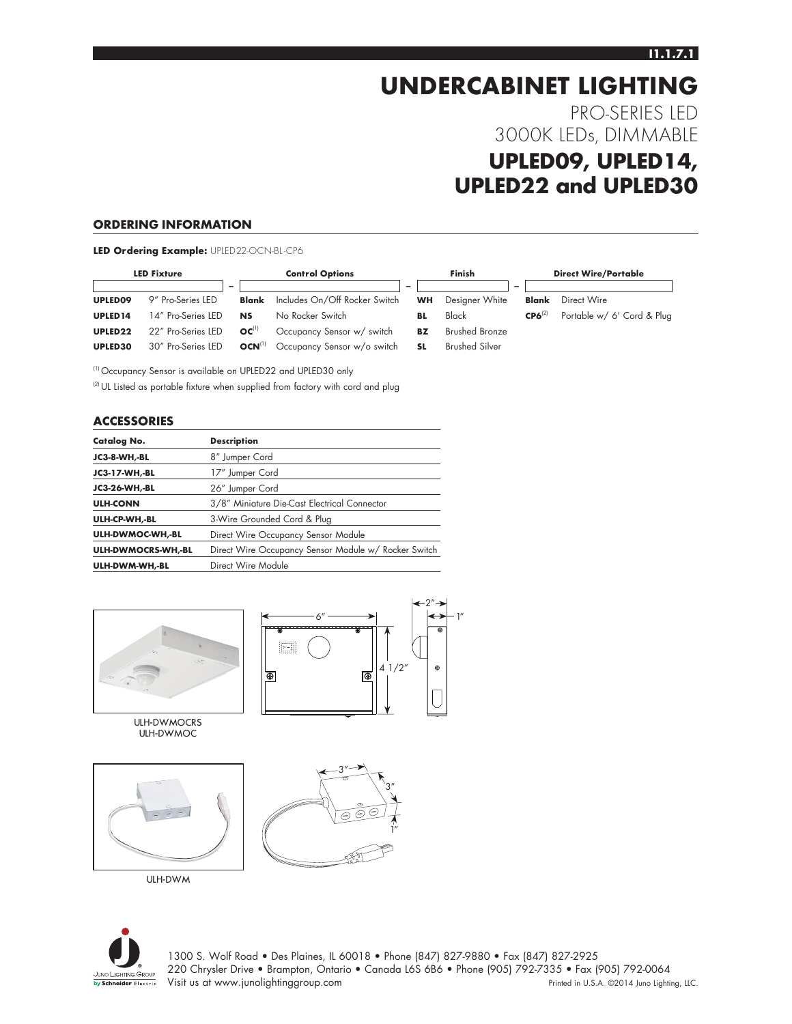#### **I1.1.7.1**

# **UNDERCABINET LIGHTING** PRO-SERIES LED 3000K LEDs, DIMMABLE **UPLED09, UPLED14, UPLED22 and UPLED30**

#### **ORDERING INFORMATION**

#### **LED Ordering Example:** UPLED22-OCN-BL -CP6

|                     | <b>LED Fixture</b>       |              | <b>Control Options</b>        |                          | Finish                      |                          |             | <b>Direct Wire/Portable</b> |
|---------------------|--------------------------|--------------|-------------------------------|--------------------------|-----------------------------|--------------------------|-------------|-----------------------------|
|                     | $\overline{\phantom{0}}$ |              |                               | $\overline{\phantom{a}}$ |                             | $\overline{\phantom{0}}$ |             |                             |
| UPLED09             | 9" Pro-Series LED        | <b>Blank</b> | Includes On/Off Rocker Switch |                          | Designer White<br><b>WH</b> |                          | Blank       | Direct Wire                 |
| UPLED <sub>14</sub> | 14" Pro-Series LED       | <b>NS</b>    | No Rocker Switch              | BL                       | Black                       |                          | $CP6^{(2)}$ | Portable w/ 6' Cord & Plug  |
| UPLED22             | 22" Pro-Series LED       | $OC^{(1)}$   | Occupancy Sensor w/ switch    | <b>BZ</b>                | <b>Brushed Bronze</b>       |                          |             |                             |
| UPLED30             | 30" Pro-Series LED       | $OCN^{(1)}$  | Occupancy Sensor w/o switch   | <b>SL</b>                | <b>Brushed Silver</b>       |                          |             |                             |

(1) Occupancy Sensor is available on UPLED22 and UPLED30 only

<sup>(2)</sup> UL Listed as portable fixture when supplied from factory with cord and plug

#### **ACCESSORIES**

| Catalog No.          | <b>Description</b>                                   |  |  |  |
|----------------------|------------------------------------------------------|--|--|--|
| JC3-8-WH,-BL         | 8" Jumper Cord                                       |  |  |  |
| <b>JC3-17-WH,-BL</b> | 17" Jumper Cord                                      |  |  |  |
| <b>JC3-26-WH,-BL</b> | 26" Jumper Cord                                      |  |  |  |
| <b>ULH-CONN</b>      | 3/8" Miniature Die-Cast Electrical Connector         |  |  |  |
| ULH-CP-WH,-BL        | 3-Wire Grounded Cord & Plug                          |  |  |  |
| ULH-DWMOC-WH,-BL     | Direct Wire Occupancy Sensor Module                  |  |  |  |
| ULH-DWMOCRS-WH,-BL   | Direct Wire Occupancy Sensor Module w/ Rocker Switch |  |  |  |
| ULH-DWM-WH,-BL       | Direct Wire Module                                   |  |  |  |





ULH-DWMOCRS ULH-DWMOC





ULH-DWM



1300 S. Wolf Road • Des Plaines, IL 60018 • Phone (847) 827-9880 • Fax (847) 827-2925 220 Chrysler Drive • Brampton, Ontario • Canada L6S 6B6 • Phone (905) 792-7335 • Fax (905) 792-0064 Visit us at www.junolightinggroup.com example and the Printed in U.S.A. ©2014 Juno Lighting, LLC.